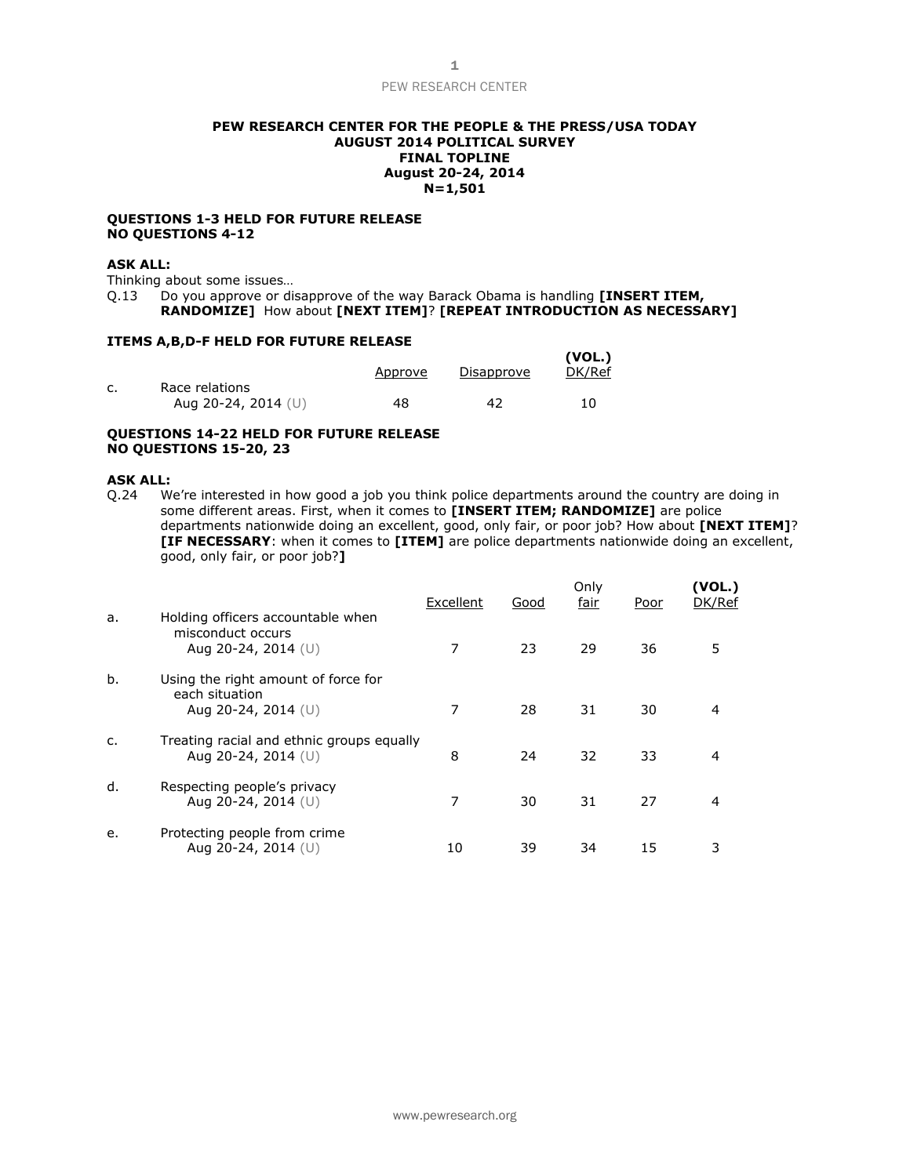## **PEW RESEARCH CENTER FOR THE PEOPLE & THE PRESS/USA TODAY AUGUST 2014 POLITICAL SURVEY FINAL TOPLINE August 20-24, 2014 N=1,501**

### **QUESTIONS 1-3 HELD FOR FUTURE RELEASE NO QUESTIONS 4-12**

# **ASK ALL:**

Thinking about some issues…

Q.13 Do you approve or disapprove of the way Barack Obama is handling **[INSERT ITEM,** 

**RANDOMIZE]** How about **[NEXT ITEM]**? **[REPEAT INTRODUCTION AS NECESSARY]**

## **ITEMS A,B,D-F HELD FOR FUTURE RELEASE**

|                                         | Approve | Disapprove | (VOL.)<br>DK/Ref |
|-----------------------------------------|---------|------------|------------------|
| Race relations<br>Aug 20-24, 2014 $(U)$ | 48      | 42         | 10               |
|                                         |         |            |                  |

## **QUESTIONS 14-22 HELD FOR FUTURE RELEASE NO QUESTIONS 15-20, 23**

### **ASK ALL:**

Q.24 We're interested in how good a job you think police departments around the country are doing in some different areas. First, when it comes to **[INSERT ITEM; RANDOMIZE]** are police departments nationwide doing an excellent, good, only fair, or poor job? How about **[NEXT ITEM]**? **[IF NECESSARY**: when it comes to **[ITEM]** are police departments nationwide doing an excellent, good, only fair, or poor job?**]**

| a. | Holding officers accountable when                                              | Excellent | Good | Only<br>fair | Poor | (VOL.)<br>DK/Ref |
|----|--------------------------------------------------------------------------------|-----------|------|--------------|------|------------------|
|    | misconduct occurs<br>Aug 20-24, 2014 $(U)$                                     |           | 23   | 29           | 36   | 5                |
| b. | Using the right amount of force for<br>each situation<br>Aug 20-24, 2014 $(U)$ | 7         | 28   | 31           | 30   |                  |
| C. | Treating racial and ethnic groups equally<br>Aug 20-24, 2014 (U)               | 8         | 24   | 32           | 33   | 4                |
| d. | Respecting people's privacy<br>Aug 20-24, 2014 (U)                             | 7         | 30   | 31           | 27   | 4                |
| e. | Protecting people from crime<br>Aug 20-24, 2014 (U)                            | 10        | 39   | 34           | 15   | 3                |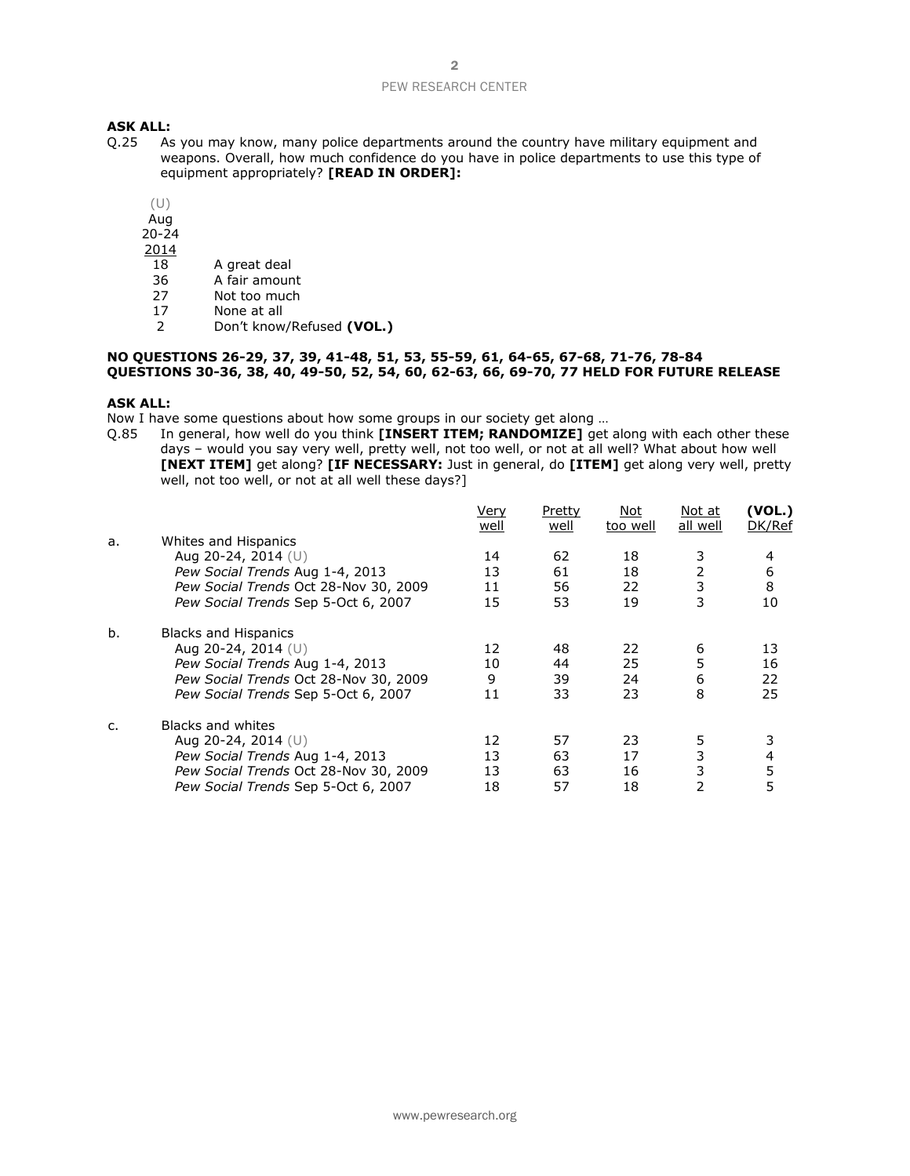# **ASK ALL:**<br>0.25 As

- As you may know, many police departments around the country have military equipment and weapons. Overall, how much confidence do you have in police departments to use this type of equipment appropriately? **[READ IN ORDER]:**
	- (U)
	- Aug
	- 20-24
	- 2014
	- 18 A great deal<br>36 A fair amoun
	- A fair amount
	- 27 Not too much
	- 17 None at all<br>2 Don't know
	- 2 Don't know/Refused **(VOL.)**

## **NO QUESTIONS 26-29, 37, 39, 41-48, 51, 53, 55-59, 61, 64-65, 67-68, 71-76, 78-84 QUESTIONS 30-36, 38, 40, 49-50, 52, 54, 60, 62-63, 66, 69-70, 77 HELD FOR FUTURE RELEASE**

### **ASK ALL:**

Now I have some questions about how some groups in our society get along …

Q.85 In general, how well do you think **[INSERT ITEM; RANDOMIZE]** get along with each other these days – would you say very well, pretty well, not too well, or not at all well? What about how well **[NEXT ITEM]** get along? **[IF NECESSARY:** Just in general, do **[ITEM]** get along very well, pretty well, not too well, or not at all well these days?]

|    |                                       | Very | Pretty | Not      | Not at         | (VOL.) |
|----|---------------------------------------|------|--------|----------|----------------|--------|
|    |                                       | well | well   | too well | all well       | DK/Ref |
| a. | Whites and Hispanics                  |      |        |          |                |        |
|    | Aug 20-24, 2014 (U)                   | 14   | 62     | 18       | 3              | 4      |
|    | Pew Social Trends Aug 1-4, 2013       | 13   | 61     | 18       | $\overline{2}$ | 6      |
|    | Pew Social Trends Oct 28-Nov 30, 2009 | 11   | 56     | 22       | 3              | 8      |
|    | Pew Social Trends Sep 5-Oct 6, 2007   | 15   | 53     | 19       | 3              | 10     |
| b. | <b>Blacks and Hispanics</b>           |      |        |          |                |        |
|    | Aug 20-24, 2014 $(U)$                 | 12   | 48     | 22       | 6              | 13     |
|    | Pew Social Trends Aug 1-4, 2013       | 10   | 44     | 25       | 5              | 16     |
|    | Pew Social Trends Oct 28-Nov 30, 2009 | 9    | 39     | 24       | 6              | 22     |
|    | Pew Social Trends Sep 5-Oct 6, 2007   | 11   | 33     | 23       | 8              | 25     |
| C. | Blacks and whites                     |      |        |          |                |        |
|    | Aug 20-24, 2014 (U)                   | 12   | 57     | 23       | 5              |        |
|    | Pew Social Trends Aug 1-4, 2013       | 13   | 63     | 17       | 3              | 4      |
|    | Pew Social Trends Oct 28-Nov 30, 2009 | 13   | 63     | 16       | 3              | 5      |
|    | Pew Social Trends Sep 5-Oct 6, 2007   | 18   | 57     | 18       | 2              | 5      |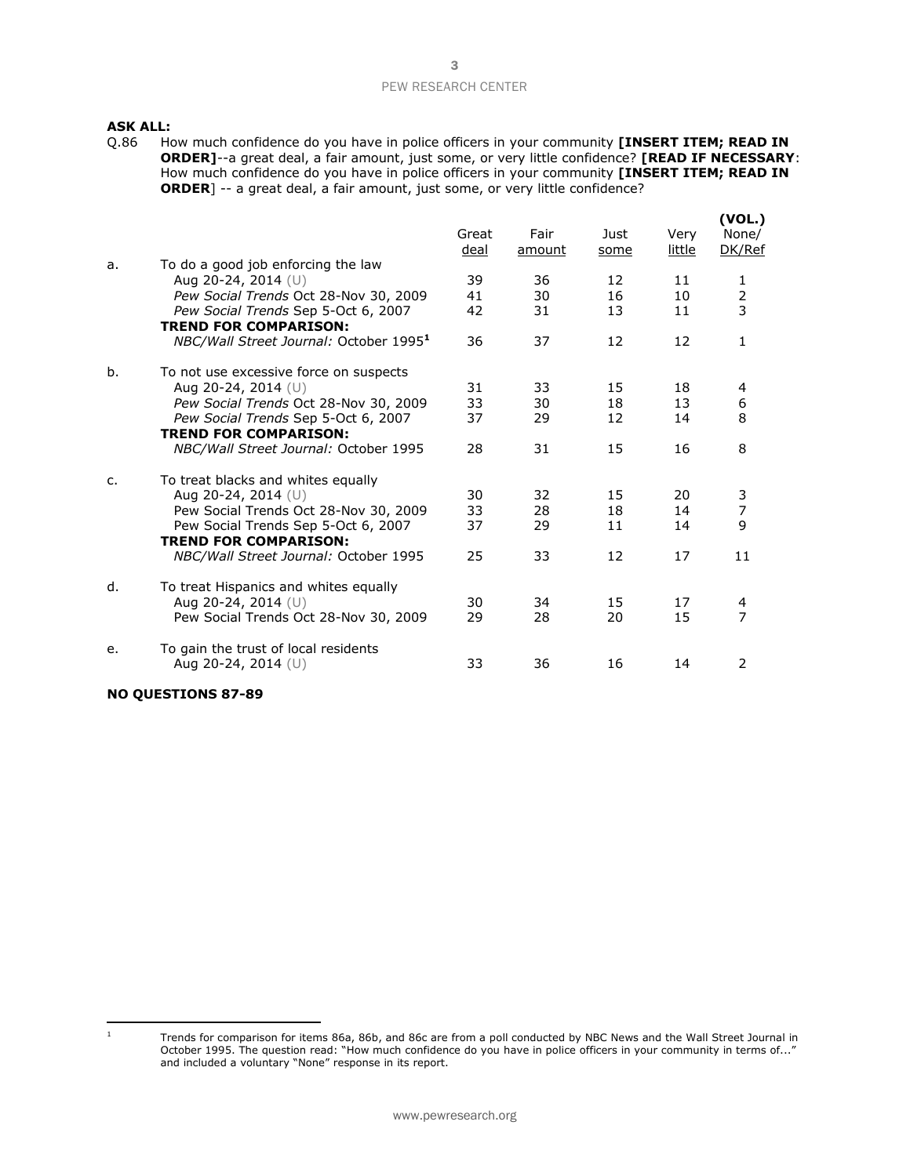# **ASK ALL:**<br>Q.86 Ho

How much confidence do you have in police officers in your community **[INSERT ITEM; READ IN ORDER]**--a great deal, a fair amount, just some, or very little confidence? **[READ IF NECESSARY**: How much confidence do you have in police officers in your community **[INSERT ITEM; READ IN ORDER**] -- a great deal, a fair amount, just some, or very little confidence?

|    |                                                              | Great<br>deal | Fair<br>amount | Just<br>some | Very<br>little | (VOL.)<br>None/<br>DK/Ref |
|----|--------------------------------------------------------------|---------------|----------------|--------------|----------------|---------------------------|
| a. | To do a good job enforcing the law                           | 39            | 36             | 12           | 11             |                           |
|    | Aug 20-24, 2014 (U)<br>Pew Social Trends Oct 28-Nov 30, 2009 | 41            | 30             | 16           | 10             | 1                         |
|    | Pew Social Trends Sep 5-Oct 6, 2007                          | 42            | 31             | 13           | 11             | $\frac{2}{3}$             |
|    | <b>TREND FOR COMPARISON:</b>                                 |               |                |              |                |                           |
|    | NBC/Wall Street Journal: October 1995 <sup>1</sup>           | 36            | 37             | 12           | 12             | 1                         |
| b. | To not use excessive force on suspects                       |               |                |              |                |                           |
|    | Aug 20-24, 2014 $(U)$                                        | 31            | 33             | 15           | 18             | 4                         |
|    | Pew Social Trends Oct 28-Nov 30, 2009                        | 33            | 30             | 18           | 13             | 6                         |
|    | Pew Social Trends Sep 5-Oct 6, 2007                          | 37            | 29             | 12           | 14             | 8                         |
|    | <b>TREND FOR COMPARISON:</b>                                 |               |                |              |                |                           |
|    | NBC/Wall Street Journal: October 1995                        | 28            | 31             | 15           | 16             | 8                         |
| c. | To treat blacks and whites equally                           |               |                |              |                |                           |
|    | Aug 20-24, 2014 (U)                                          | 30            | 32             | 15           | 20             | 3                         |
|    | Pew Social Trends Oct 28-Nov 30, 2009                        | 33            | 28             | 18           | 14             | $\overline{7}$            |
|    | Pew Social Trends Sep 5-Oct 6, 2007                          | 37            | 29             | 11           | 14             | 9                         |
|    | <b>TREND FOR COMPARISON:</b>                                 |               |                |              |                |                           |
|    | NBC/Wall Street Journal: October 1995                        | 25            | 33             | 12           | 17             | 11                        |
| d. | To treat Hispanics and whites equally                        |               |                |              |                |                           |
|    | Aug 20-24, 2014 (U)                                          | 30            | 34             | 15           | 17             | 4                         |
|    | Pew Social Trends Oct 28-Nov 30, 2009                        | 29            | 28             | 20           | 15             | 7                         |
| e. | To gain the trust of local residents                         |               |                |              |                |                           |
|    | Aug 20-24, 2014 (U)                                          | 33            | 36             | 16           | 14             | 2                         |
|    |                                                              |               |                |              |                |                           |

## **NO QUESTIONS 87-89**

 $1$  Trends for comparison for items 86a, 86b, and 86c are from a poll conducted by NBC News and the Wall Street Journal in October 1995. The question read: "How much confidence do you have in police officers in your community in terms of..." and included a voluntary "None" response in its report.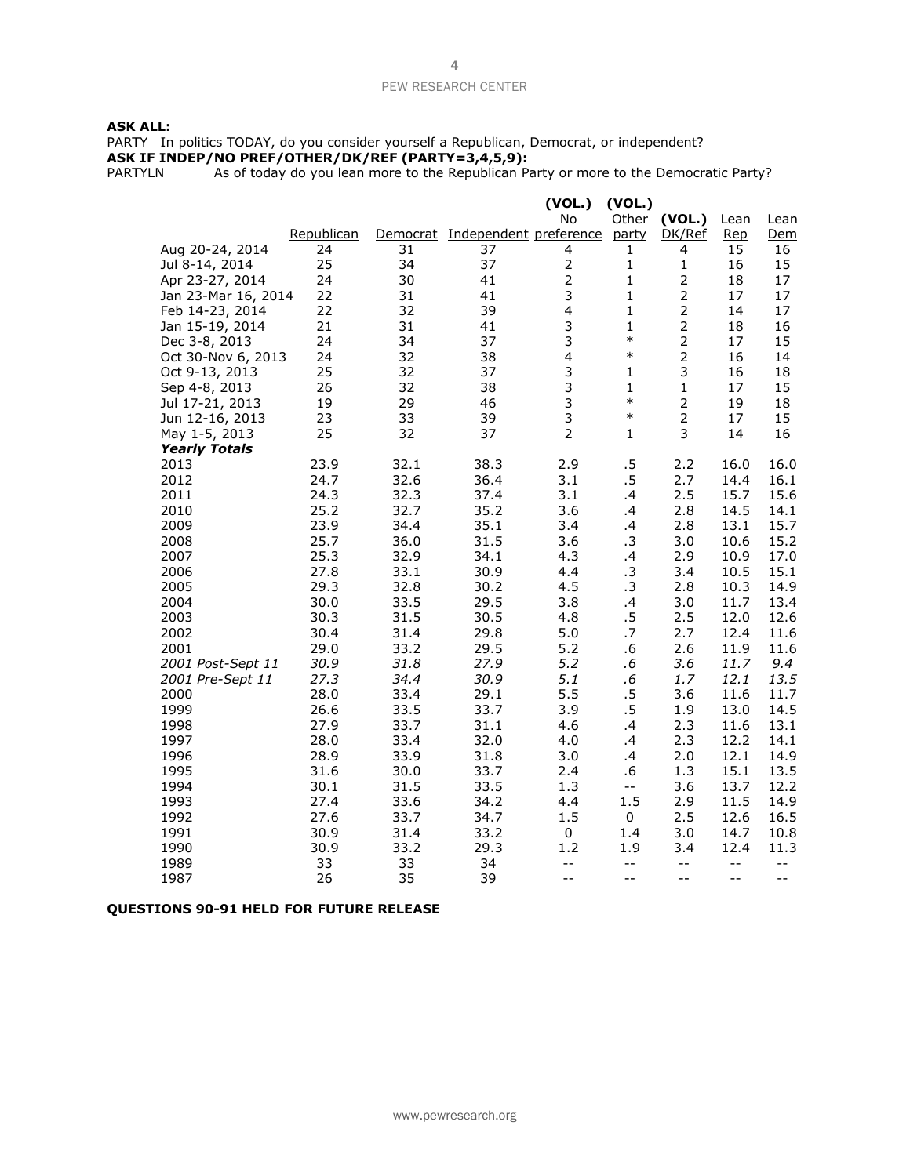### **ASK ALL:**

PARTY In politics TODAY, do you consider yourself a Republican, Democrat, or independent? **ASK IF INDEP/NO PREF/OTHER/DK/REF (PARTY=3,4,5,9):**

PARTYLN As of today do you lean more to the Republican Party or more to the Democratic Party?

|                          |              |              |                                       | (VOL.)                  | (VOL.)                                        |                |              |              |
|--------------------------|--------------|--------------|---------------------------------------|-------------------------|-----------------------------------------------|----------------|--------------|--------------|
|                          |              |              |                                       | No                      | Other                                         | (VOL.)         | Lean         | Lean         |
|                          | Republican   |              | Democrat Independent preference party |                         |                                               | DK/Ref         | <u>Rep</u>   | Dem          |
| Aug 20-24, 2014          | 24           | 31           | 37                                    | 4                       | 1                                             | 4              | 15           | 16           |
| Jul 8-14, 2014           | 25           | 34           | 37                                    | $\mathbf 2$             | 1                                             | $\mathbf 1$    | 16           | 15           |
| Apr 23-27, 2014          | 24           | 30           | 41                                    | $\overline{2}$          | 1                                             | $\overline{2}$ | 18           | 17           |
| Jan 23-Mar 16, 2014      | 22           | 31           | 41                                    | 3                       | $\mathbf{1}$                                  | $\overline{2}$ | 17           | 17           |
| Feb 14-23, 2014          | 22           | 32           | 39                                    | $\overline{\mathbf{4}}$ | $\mathbf{1}$                                  | $\overline{2}$ | 14           | 17           |
| Jan 15-19, 2014          | 21           | 31           | 41                                    | 3                       | 1                                             | $\overline{2}$ | 18           | 16           |
| Dec 3-8, 2013            | 24           | 34           | 37                                    | 3                       | $\ast$                                        | $\overline{2}$ | 17           | 15           |
| Oct 30-Nov 6, 2013       | 24           | 32           | 38                                    | $\overline{\mathbf{4}}$ | $\ast$                                        | $\overline{2}$ | 16           | 14           |
| Oct 9-13, 2013           | 25           | 32           | 37                                    | 3                       | 1                                             | 3              | 16           | 18           |
| Sep 4-8, 2013            | 26           | 32           | 38                                    | 3                       | $\mathbf{1}$                                  | $\mathbf 1$    | 17           | 15           |
| Jul 17-21, 2013          | 19           | 29           | 46                                    | 3                       | $\ast$                                        | $\overline{2}$ | 19           | 18           |
| Jun 12-16, 2013          | 23           | 33           | 39                                    | 3                       | $\ast$                                        | $\overline{2}$ | 17           | 15           |
| May 1-5, 2013            | 25           | 32           | 37                                    | $\overline{2}$          | $\mathbf{1}$                                  | 3              | 14           | 16           |
| <b>Yearly Totals</b>     |              |              |                                       |                         |                                               |                |              |              |
| 2013                     | 23.9         | 32.1         | 38.3                                  | 2.9                     | .5                                            | 2.2            | 16.0         | 16.0         |
| 2012                     | 24.7         | 32.6         | 36.4                                  | 3.1                     | .5                                            | 2.7            | 14.4         | 16.1         |
| 2011                     | 24.3         | 32.3         | 37.4                                  | 3.1                     | .4                                            | 2.5            | 15.7         | 15.6         |
| 2010                     | 25.2         | 32.7         | 35.2                                  | 3.6                     | .4                                            | 2.8            | 14.5         | 14.1         |
| 2009                     | 23.9         | 34.4         | 35.1                                  | 3.4                     | .4                                            | 2.8            | 13.1         | 15.7         |
| 2008                     | 25.7         | 36.0         | 31.5                                  | 3.6                     | .3                                            | 3.0            | 10.6         | 15.2         |
| 2007                     | 25.3         | 32.9         | 34.1                                  | 4.3                     | .4                                            | 2.9            | 10.9         | 17.0         |
| 2006                     | 27.8         | 33.1         | 30.9                                  | 4.4                     | .3                                            | 3.4            | 10.5         | 15.1         |
| 2005                     | 29.3         | 32.8         | 30.2                                  | 4.5                     | .3                                            | 2.8            | 10.3         | 14.9         |
| 2004                     | 30.0         | 33.5         | 29.5                                  | 3.8                     | .4                                            | 3.0            | 11.7         | 13.4         |
| 2003                     | 30.3         | 31.5         | 30.5                                  | 4.8                     | $.5\,$                                        | 2.5            | 12.0         | 12.6         |
| 2002                     | 30.4         | 31.4         | 29.8                                  | 5.0                     | .7                                            | 2.7            | 12.4         | 11.6         |
| 2001                     | 29.0         | 33.2         | 29.5                                  | 5.2                     | .6                                            | 2.6            | 11.9         | 11.6         |
| 2001 Post-Sept 11        | 30.9         | 31.8         | 27.9                                  | 5.2                     | .6                                            | 3.6            | 11.7         | 9.4          |
| 2001 Pre-Sept 11<br>2000 | 27.3<br>28.0 | 34.4         | 30.9<br>29.1                          | 5.1<br>5.5              | .6<br>.5                                      | 1.7<br>3.6     | 12.1         | 13.5         |
| 1999                     | 26.6         | 33.4<br>33.5 | 33.7                                  | 3.9                     | $.5\,$                                        | 1.9            | 11.6<br>13.0 | 11.7<br>14.5 |
| 1998                     | 27.9         | 33.7         | 31.1                                  | 4.6                     | .4                                            | 2.3            | 11.6         | 13.1         |
| 1997                     | 28.0         | 33.4         | 32.0                                  | 4.0                     | .4                                            | 2.3            | 12.2         | 14.1         |
| 1996                     | 28.9         | 33.9         | 31.8                                  | 3.0                     | .4                                            | 2.0            | 12.1         | 14.9         |
| 1995                     | 31.6         | 30.0         | 33.7                                  | 2.4                     | .6                                            | 1.3            | 15.1         | 13.5         |
| 1994                     | 30.1         | 31.5         | 33.5                                  | 1.3                     | $\mathord{\hspace{1pt}\text{--}\hspace{1pt}}$ | 3.6            | 13.7         | 12.2         |
| 1993                     | 27.4         | 33.6         | 34.2                                  | 4.4                     | 1.5                                           | 2.9            | 11.5         | 14.9         |
| 1992                     | 27.6         | 33.7         | 34.7                                  | 1.5                     | 0                                             | 2.5            | 12.6         | 16.5         |
| 1991                     | 30.9         | 31.4         | 33.2                                  | $\pmb{0}$               | 1.4                                           | 3.0            | 14.7         | 10.8         |
| 1990                     | 30.9         | 33.2         | 29.3                                  | 1.2                     | 1.9                                           | 3.4            | 12.4         | 11.3         |
| 1989                     | 33           | 33           | 34                                    | $- -$                   | $- -$                                         | $- -$          | $- -$        | $- -$        |
| 1987                     | 26           | 35           | 39                                    | $-$                     | $-$                                           | $-$            | $-$          | $-$          |
|                          |              |              |                                       |                         |                                               |                |              |              |

## **QUESTIONS 90-91 HELD FOR FUTURE RELEASE**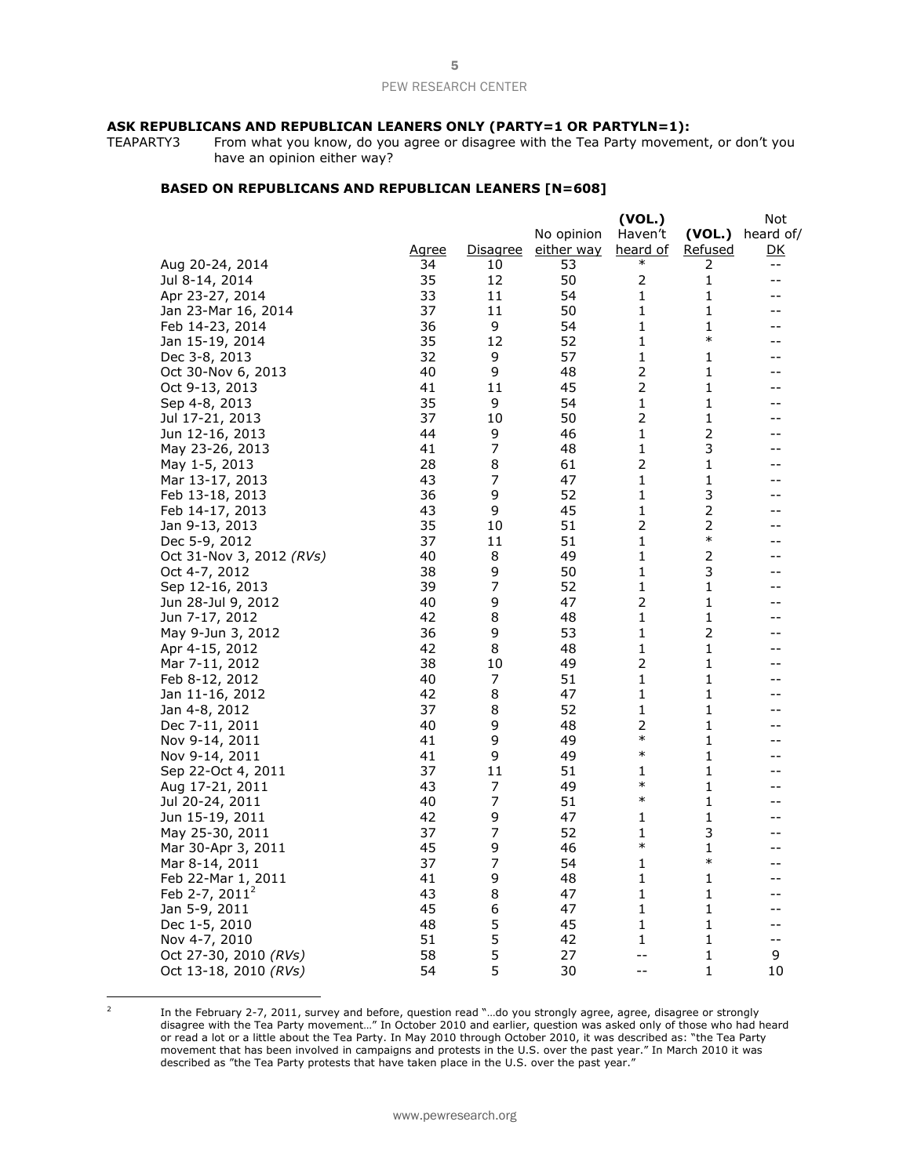# **ASK REPUBLICANS AND REPUBLICAN LEANERS ONLY (PARTY=1 OR PARTYLN=1):**<br>TEAPARTY3 From what you know, do you agree or disagree with the Tea Party movement

From what you know, do you agree or disagree with the Tea Party movement, or don't you have an opinion either way?

## **BASED ON REPUBLICANS AND REPUBLICAN LEANERS [N=608]**

|                          |              |                 |                   | (VOL.)         |                | Not       |
|--------------------------|--------------|-----------------|-------------------|----------------|----------------|-----------|
|                          |              |                 | No opinion        | Haven't        | (VOL.)         | heard of/ |
|                          | <u>Agree</u> | <u>Disagree</u> | <u>either way</u> | heard of       | <u>Refused</u> | <u>DK</u> |
| Aug 20-24, 2014          | 34           | 10              | 53                | $\ast$         | 2              | $- \, -$  |
| Jul 8-14, 2014           | 35           | 12              | 50                | 2              | 1              | $-$       |
| Apr 23-27, 2014          | 33           | 11              | 54                | 1              | 1              | --        |
| Jan 23-Mar 16, 2014      | 37           | 11              | 50                | 1              | 1              | --        |
| Feb 14-23, 2014          | 36           | 9               | 54                | 1              | 1              | --        |
| Jan 15-19, 2014          | 35           | 12              | 52                | 1              | $\ast$         | --        |
| Dec 3-8, 2013            | 32           | 9               | 57                | $\mathbf{1}$   | 1              | --        |
| Oct 30-Nov 6, 2013       | 40           | 9               | 48                | 2              | $\mathbf{1}$   | --        |
| Oct 9-13, 2013           | 41           | 11              | 45                | $\overline{2}$ | 1              | --        |
| Sep 4-8, 2013            | 35           | 9               | 54                | 1              | 1              | --        |
| Jul 17-21, 2013          | 37           | 10              | 50                | $\overline{2}$ | 1              | --        |
| Jun 12-16, 2013          | 44           | 9               | 46                | 1              | 2              | $-$       |
| May 23-26, 2013          | 41           | 7               | 48                | 1              | 3              | --        |
| May 1-5, 2013            | 28           | 8               | 61                | 2              | 1              | --        |
| Mar 13-17, 2013          | 43           | 7               | 47                | 1              | 1              | --        |
| Feb 13-18, 2013          | 36           | 9               | 52                | 1              | 3              | $-$       |
| Feb 14-17, 2013          | 43           | 9               | 45                | 1              | $\overline{c}$ | $-$       |
| Jan 9-13, 2013           | 35           | 10              | 51                | 2              | $\overline{2}$ | --        |
| Dec 5-9, 2012            | 37           | 11              | 51                | 1              | $\ast$         | --        |
| Oct 31-Nov 3, 2012 (RVs) | 40           | 8               | 49                | 1              | 2              | $-$       |
| Oct 4-7, 2012            | 38           | 9               | 50                | 1              | 3              | --        |
| Sep 12-16, 2013          | 39           | 7               | 52                | 1              | 1              | --        |
| Jun 28-Jul 9, 2012       | 40           | 9               | 47                | $\overline{2}$ | 1              | --        |
| Jun 7-17, 2012           | 42           | 8               | 48                | 1              | 1              | --        |
| May 9-Jun 3, 2012        | 36           | 9               | 53                | 1              | $\overline{c}$ | --        |
| Apr 4-15, 2012           | 42           | 8               | 48                | $\mathbf 1$    | $\mathbf{1}$   | --        |
| Mar 7-11, 2012           | 38           | 10              | 49                | 2              | $\mathbf{1}$   | --        |
| Feb 8-12, 2012           | 40           | 7               | 51                | 1              | 1              | --        |
| Jan 11-16, 2012          | 42           | 8               | 47                | 1              | 1              |           |
|                          | 37           | 8               | 52                | 1              | 1              | --        |
| Jan 4-8, 2012            | 40           | 9               | 48                | 2              | 1              |           |
| Dec 7-11, 2011           | 41           |                 | 49                | $\ast$         | 1              | --        |
| Nov 9-14, 2011           |              | 9<br>9          |                   | $\ast$         |                | --        |
| Nov 9-14, 2011           | 41<br>37     |                 | 49                |                | 1<br>1         | --        |
| Sep 22-Oct 4, 2011       |              | 11              | 51                | 1<br>$\ast$    |                |           |
| Aug 17-21, 2011          | 43           | 7               | 49                | $\ast$         | 1              | --        |
| Jul 20-24, 2011          | 40           | 7               | 51                |                | 1              | --        |
| Jun 15-19, 2011          | 42           | 9               | 47                | 1              | 1              | --        |
| May 25-30, 2011          | 37           | 7               | 52                | 1<br>$\ast$    | 3              | --        |
| Mar 30-Apr 3, 2011       | 45           | 9               | 46                |                | 1<br>$\ast$    | --        |
| Mar 8-14, 2011           | 37           | 7               | 54                | 1              |                | $-$       |
| Feb 22-Mar 1, 2011       | 41           | 9               | 48                | 1              | 1              | $-$       |
| Feb 2-7, $2011^2$        | 43           | 8               | 47                | 1              | 1              | --        |
| Jan 5-9, 2011            | 45           | 6               | 47                | 1              | 1              | --        |
| Dec 1-5, 2010            | 48           | 5               | 45                | 1              | 1              | $-$       |
| Nov 4-7, 2010            | 51           | 5               | 42                | 1              | 1              | $-$       |
| Oct 27-30, 2010 (RVs)    | 58           | 5               | 27                | --             | 1              | 9         |
| Oct 13-18, 2010 (RVs)    | 54           | 5               | 30                | $- -$          | $\mathbf{1}$   | 10        |

 2

In the February 2-7, 2011, survey and before, question read "…do you strongly agree, agree, disagree or strongly disagree with the Tea Party movement…" In October 2010 and earlier, question was asked only of those who had heard or read a lot or a little about the Tea Party. In May 2010 through October 2010, it was described as: "the Tea Party movement that has been involved in campaigns and protests in the U.S. over the past year." In March 2010 it was described as "the Tea Party protests that have taken place in the U.S. over the past year."